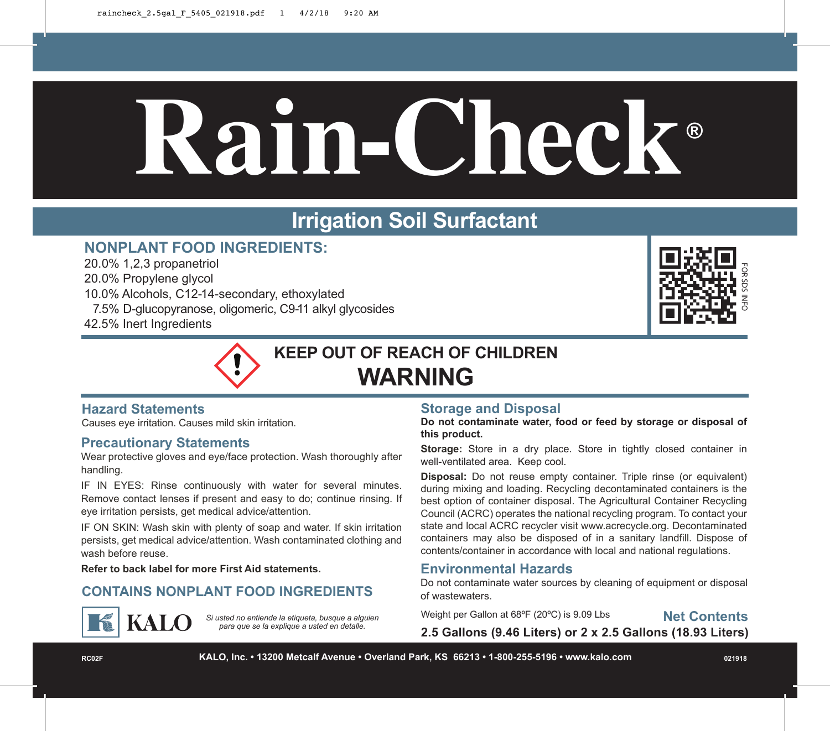# **Rain-Check ®**

# **Irrigation Soil Surfactant**

# **NONPLANT FOOD INGREDIENTS:**

20.0% 1,2,3 propanetriol 20.0% Propylene glycol 10.0% Alcohols, C12-14-secondary, ethoxylated 7.5% D-glucopyranose, oligomeric, C9-11 alkyl glycosides 42.5% Inert Ingredients





# **Hazard Statements**

Causes eye irritation. Causes mild skin irritation.

# **Precautionary Statements**

Wear protective gloves and eye/face protection. Wash thoroughly after handling.

IF IN EYES: Rinse continuously with water for several minutes. Remove contact lenses if present and easy to do; continue rinsing. If eye irritation persists, get medical advice/attention.

IF ON SKIN: Wash skin with plenty of soap and water. If skin irritation persists, get medical advice/attention. Wash contaminated clothing and wash before reuse.

**Refer to back label for more First Aid statements.**

# **CONTAINS NONPLANT FOOD INGREDIENTS** of wastewaters.



*Si usted no entiende la etiqueta, busque a alguien para que se la explique a usted en detalle.*

# **Storage and Disposal**

**Do not contaminate water, food or feed by storage or disposal of this product.**

**Storage:** Store in a dry place. Store in tightly closed container in well-ventilated area. Keep cool.

**Disposal:** Do not reuse empty container. Triple rinse (or equivalent) during mixing and loading. Recycling decontaminated containers is the best option of container disposal. The Agricultural Container Recycling Council (ACRC) operates the national recycling program. To contact your state and local ACRC recycler visit www.acrecycle.org. Decontaminated containers may also be disposed of in a sanitary landfill. Dispose of contents/container in accordance with local and national regulations.

**Environmental Hazards**<br>Do not contaminate water sources by cleaning of equipment or disposal

Weight per Gallon at 68ºF (20ºC) is 9.09 Lbs

**Net Contents**

**2.5 Gallons (9.46 Liters) or 2 x 2.5 Gallons (18.93 Liters)**

**RC02F KALO, Inc. • 13200 Metcalf Avenue • Overland Park, KS 66213 • 1-800-255-5196 • www.kalo.com 021918**